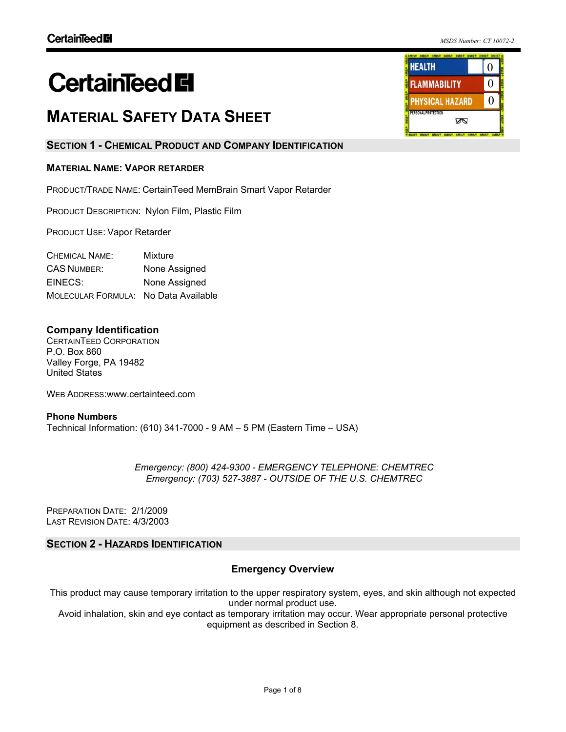# **CertainTeed El**

## **MATERIAL SAFETY DATA SHEET**

## **SECTION 1 - CHEMICAL PRODUCT AND COMPANY IDENTIFICATION**

## **MATERIAL NAME: VAPOR RETARDER**

PRODUCT/TRADE NAME: CertainTeed MemBrain Smart Vapor Retarder

PRODUCT DESCRIPTION: Nylon Film, Plastic Film

PRODUCT USE: Vapor Retarder

CHEMICAL NAME: Mixture CAS NUMBER: None Assigned EINECS: None Assigned MOLECULAR FORMULA: No Data Available

## **Company Identification**

CERTAINTEED CORPORATION P.O. Box 860 Valley Forge, PA 19482 United States

WEB ADDRESS: www.certainteed.com

**Phone Numbers**  Technical Information: (610) 341-7000 - 9 AM – 5 PM (Eastern Time – USA)

> *Emergency: (800) 424-9300 - EMERGENCY TELEPHONE: CHEMTREC Emergency: (703) 527-3887 - OUTSIDE OF THE U.S. CHEMTREC*

PREPARATION DATE: 2/1/2009 LAST REVISION DATE: 4/3/2003

## **SECTION 2 - HAZARDS IDENTIFICATION**

## **Emergency Overview**

This product may cause temporary irritation to the upper respiratory system, eyes, and skin although not expected under normal product use.

Avoid inhalation, skin and eye contact as temporary irritation may occur. Wear appropriate personal protective equipment as described in Section 8.

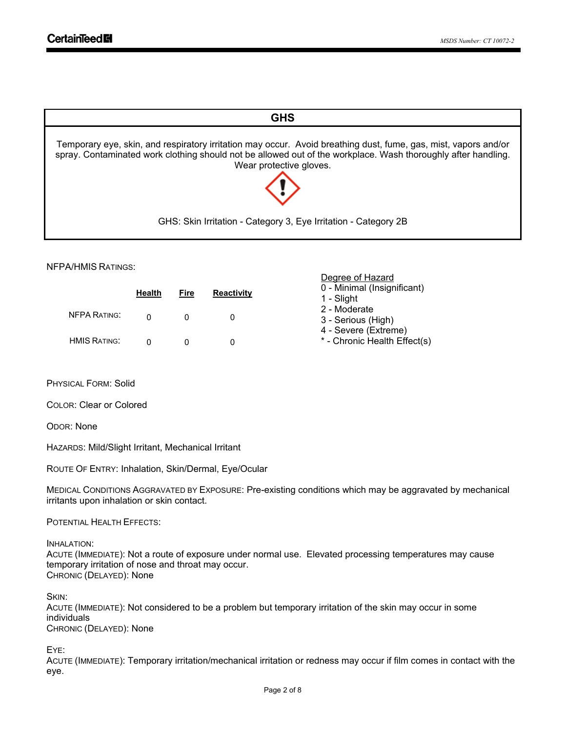

Degree of Hazard

#### NFPA/HMIS RATINGS:

|                     | <b>Health</b> | Fire | <b>Reactivity</b> | --------------<br>0 - Minimal (Insignificant)<br>1 - Slight |
|---------------------|---------------|------|-------------------|-------------------------------------------------------------|
| <b>NFPA RATING:</b> |               |      |                   | 2 - Moderate<br>3 - Serious (High)                          |
| <b>HMIS RATING:</b> |               |      |                   | 4 - Severe (Extreme)<br>* - Chronic Health Effect(s)        |

PHYSICAL FORM: Solid

COLOR: Clear or Colored

ODOR: None

HAZARDS: Mild/Slight Irritant, Mechanical Irritant

ROUTE OF ENTRY: Inhalation, Skin/Dermal, Eye/Ocular

MEDICAL CONDITIONS AGGRAVATED BY EXPOSURE: Pre-existing conditions which may be aggravated by mechanical irritants upon inhalation or skin contact.

POTENTIAL HEALTH EFFECTS:

INHALATION:

ACUTE (IMMEDIATE): Not a route of exposure under normal use. Elevated processing temperatures may cause temporary irritation of nose and throat may occur. CHRONIC (DELAYED): None

SKIN:

ACUTE (IMMEDIATE): Not considered to be a problem but temporary irritation of the skin may occur in some individuals CHRONIC (DELAYED): None

EYE:

ACUTE (IMMEDIATE): Temporary irritation/mechanical irritation or redness may occur if film comes in contact with the eye.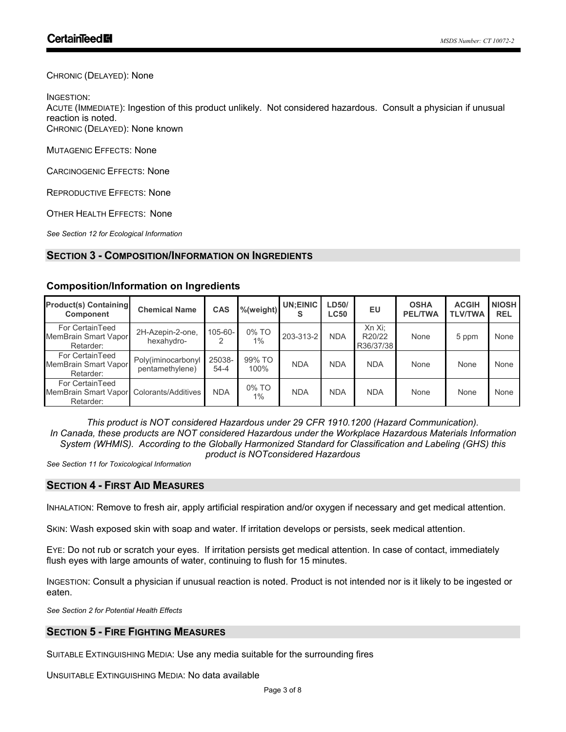CHRONIC (DELAYED): None

INGESTION:

ACUTE (IMMEDIATE): Ingestion of this product unlikely. Not considered hazardous. Consult a physician if unusual reaction is noted. CHRONIC (DELAYED): None known

MUTAGENIC EFFECTS: None

CARCINOGENIC EFFECTS: None

REPRODUCTIVE EFFECTS: None

OTHER HEALTH EFFECTS: None

*See Section 12 for Ecological Information*

## **SECTION 3 - COMPOSITION/INFORMATION ON INGREDIENTS**

| <b>Product(s) Containing</b><br>Component                                | <b>Chemical Name</b>                  | CAS                |                | ∥%(weight)∥ UN;EINIC ∥ ् | LD50/<br><b>LC50</b> | EU                            | <b>OSHA</b><br><b>PEL/TWA</b> | <b>ACGIH</b><br><b>TLV/TWA</b> | <b>NIOSH</b><br><b>REL</b> |
|--------------------------------------------------------------------------|---------------------------------------|--------------------|----------------|--------------------------|----------------------|-------------------------------|-------------------------------|--------------------------------|----------------------------|
| For CertainTeed<br>MemBrain Smart Vapor<br>Retarder:                     | 2H-Azepin-2-one,<br>hexahydro-        | $105 - 60 - 1$     | 0% TO<br>$1\%$ | 203-313-2                | <b>NDA</b>           | Xn Xi;<br>R20/22<br>R36/37/38 | None                          | 5 ppm                          | None                       |
| For CertainTeed<br>MemBrain Smart Vapor<br>Retarder:                     | Poly(iminocarbonyl<br>pentamethylene) | 25038-<br>$54 - 4$ | 99% TO<br>100% | <b>NDA</b>               | <b>NDA</b>           | <b>NDA</b>                    | None                          | None                           | None                       |
| For CertainTeed<br>MemBrain Smart Vapor Colorants/Additives<br>Retarder: |                                       | <b>NDA</b>         | 0% TO<br>$1\%$ | <b>NDA</b>               | <b>NDA</b>           | <b>NDA</b>                    | None                          | None                           | None                       |

#### **Composition/Information on Ingredients**

*This product is NOT considered Hazardous under 29 CFR 1910.1200 (Hazard Communication). In Canada, these products are NOT considered Hazardous under the Workplace Hazardous Materials Information System (WHMIS). According to the Globally Harmonized Standard for Classification and Labeling (GHS) this product is NOTconsidered Hazardous*

*See Section 11 for Toxicological Information* 

## **SECTION 4 - FIRST AID MEASURES**

INHALATION: Remove to fresh air, apply artificial respiration and/or oxygen if necessary and get medical attention.

SKIN: Wash exposed skin with soap and water. If irritation develops or persists, seek medical attention.

EYE: Do not rub or scratch your eyes. If irritation persists get medical attention. In case of contact, immediately flush eyes with large amounts of water, continuing to flush for 15 minutes.

INGESTION: Consult a physician if unusual reaction is noted. Product is not intended nor is it likely to be ingested or eaten.

*See Section 2 for Potential Health Effects*

## **SECTION 5 - FIRE FIGHTING MEASURES**

SUITABLE EXTINGUISHING MEDIA: Use any media suitable for the surrounding fires

UNSUITABLE EXTINGUISHING MEDIA: No data available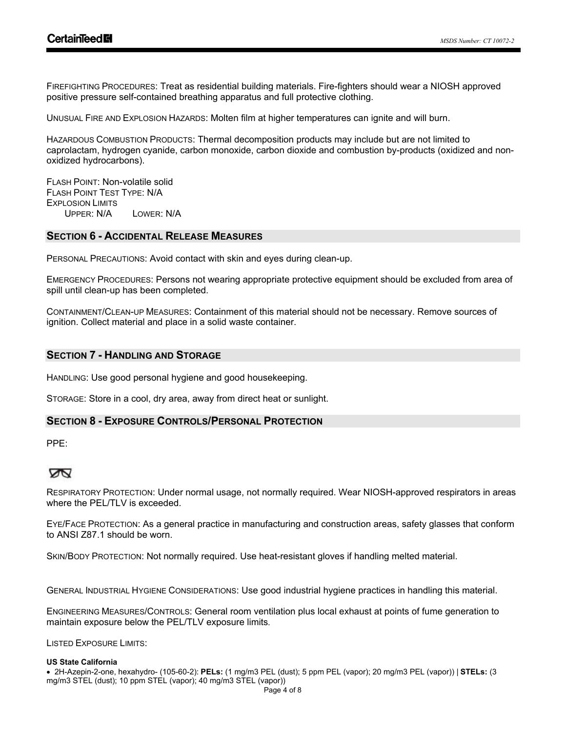FIREFIGHTING PROCEDURES: Treat as residential building materials. Fire-fighters should wear a NIOSH approved positive pressure self-contained breathing apparatus and full protective clothing.

UNUSUAL FIRE AND EXPLOSION HAZARDS: Molten film at higher temperatures can ignite and will burn.

HAZARDOUS COMBUSTION PRODUCTS: Thermal decomposition products may include but are not limited to caprolactam, hydrogen cyanide, carbon monoxide, carbon dioxide and combustion by-products (oxidized and nonoxidized hydrocarbons).

FLASH POINT: Non-volatile solid FLASH POINT TEST TYPE: N/A **EXPLOSION LIMITS** UPPER: N/A LOWER: N/A

#### **SECTION 6 - ACCIDENTAL RELEASE MEASURES**

PERSONAL PRECAUTIONS: Avoid contact with skin and eyes during clean-up.

EMERGENCY PROCEDURES: Persons not wearing appropriate protective equipment should be excluded from area of spill until clean-up has been completed.

CONTAINMENT/CLEAN-UP MEASURES: Containment of this material should not be necessary. Remove sources of ignition. Collect material and place in a solid waste container.

## **SECTION 7 - HANDLING AND STORAGE**

HANDLING: Use good personal hygiene and good housekeeping.

STORAGE: Store in a cool, dry area, away from direct heat or sunlight.

### **SECTION 8 - EXPOSURE CONTROLS/PERSONAL PROTECTION**

PPE:

## Ż

RESPIRATORY PROTECTION: Under normal usage, not normally required. Wear NIOSH-approved respirators in areas where the PEL/TLV is exceeded.

EYE/FACE PROTECTION: As a general practice in manufacturing and construction areas, safety glasses that conform to ANSI Z87.1 should be worn.

SKIN/BODY PROTECTION: Not normally required. Use heat-resistant gloves if handling melted material.

GENERAL INDUSTRIAL HYGIENE CONSIDERATIONS: Use good industrial hygiene practices in handling this material.

ENGINEERING MEASURES/CONTROLS: General room ventilation plus local exhaust at points of fume generation to maintain exposure below the PEL/TLV exposure limits.

LISTED EXPOSURE LIMITS:

#### **US State California**

! 2H-Azepin-2-one, hexahydro- (105-60-2): **PELs:** (1 mg/m3 PEL (dust); 5 ppm PEL (vapor); 20 mg/m3 PEL (vapor)) | **STELs:** (3 mg/m3 STEL (dust); 10 ppm STEL (vapor); 40 mg/m3 STEL (vapor))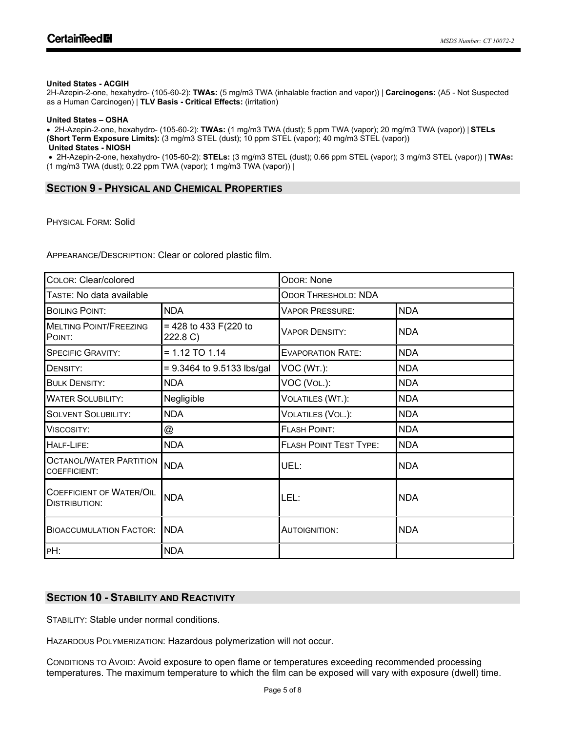#### **United States - ACGIH**

2H-Azepin-2-one, hexahydro- (105-60-2): **TWAs:** (5 mg/m3 TWA (inhalable fraction and vapor)) | **Carcinogens:** (A5 - Not Suspected as a Human Carcinogen) | **TLV Basis - Critical Effects:** (irritation)

#### **United States – OSHA**

! 2H-Azepin-2-one, hexahydro- (105-60-2): **TWAs:** (1 mg/m3 TWA (dust); 5 ppm TWA (vapor); 20 mg/m3 TWA (vapor)) | **STELs (Short Term Exposure Limits):** (3 mg/m3 STEL (dust); 10 ppm STEL (vapor); 40 mg/m3 STEL (vapor)) **United States - NIOSH**

! 2H-Azepin-2-one, hexahydro- (105-60-2): **STELs:** (3 mg/m3 STEL (dust); 0.66 ppm STEL (vapor); 3 mg/m3 STEL (vapor)) | **TWAs:** (1 mg/m3 TWA (dust); 0.22 ppm TWA (vapor); 1 mg/m3 TWA (vapor)) |

#### **SECTION 9 - PHYSICAL AND CHEMICAL PROPERTIES**

PHYSICAL FORM: Solid

APPEARANCE/DESCRIPTION: Clear or colored plastic film.

| COLOR: Clear/colored                                    |                                    | <b>ODOR: None</b>             |            |  |  |
|---------------------------------------------------------|------------------------------------|-------------------------------|------------|--|--|
| TASTE: No data available                                |                                    | <b>ODOR THRESHOLD: NDA</b>    |            |  |  |
| <b>BOILING POINT:</b>                                   | <b>NDA</b>                         | <b>VAPOR PRESSURE:</b>        | <b>NDA</b> |  |  |
| <b>MELTING POINT/FREEZING</b><br>POINT:                 | $= 428$ to 433 F(220 to<br>222.8 C | <b>VAPOR DENSITY:</b>         | <b>NDA</b> |  |  |
| <b>SPECIFIC GRAVITY:</b>                                | $= 1.12$ TO 1.14                   | <b>EVAPORATION RATE:</b>      | <b>NDA</b> |  |  |
| DENSITY:                                                | $= 9.3464$ to 9.5133 lbs/gal       | VOC (WT.):                    | <b>NDA</b> |  |  |
| <b>BULK DENSITY:</b>                                    | <b>NDA</b>                         | VOC (VOL.):                   | <b>NDA</b> |  |  |
| <b>WATER SOLUBILITY:</b>                                | Negligible                         | VOLATILES (WT.):              | <b>NDA</b> |  |  |
| <b>SOLVENT SOLUBILITY:</b>                              | <b>NDA</b>                         | VOLATILES (VOL.):             | <b>NDA</b> |  |  |
| Viscosity:                                              | @                                  | <b>FLASH POINT:</b>           | <b>NDA</b> |  |  |
| HALF-LIFE:                                              | <b>NDA</b>                         | <b>FLASH POINT TEST TYPE:</b> | <b>NDA</b> |  |  |
| <b>OCTANOL/WATER PARTITION</b><br><b>COEFFICIENT:</b>   | <b>NDA</b>                         | UEL:                          | <b>NDA</b> |  |  |
| <b>COEFFICIENT OF WATER/OIL</b><br><b>DISTRIBUTION:</b> | <b>NDA</b>                         | LEL:                          | <b>NDA</b> |  |  |
| <b>NDA</b><br><b>BIOACCUMULATION FACTOR:</b>            |                                    | AUTOIGNITION:                 | <b>NDA</b> |  |  |
| PH:                                                     | <b>NDA</b>                         |                               |            |  |  |

## **SECTION 10 - STABILITY AND REACTIVITY**

STABILITY: Stable under normal conditions.

HAZARDOUS POLYMERIZATION: Hazardous polymerization will not occur.

CONDITIONS TO AVOID: Avoid exposure to open flame or temperatures exceeding recommended processing temperatures. The maximum temperature to which the film can be exposed will vary with exposure (dwell) time.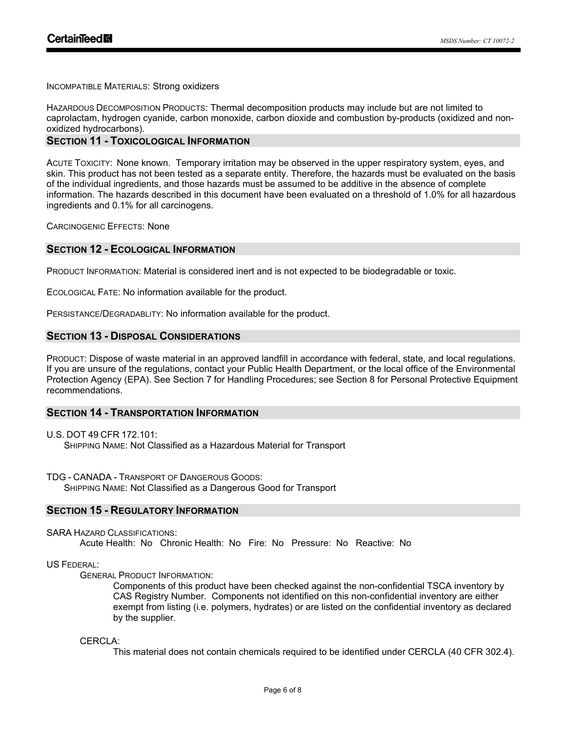INCOMPATIBLE MATERIALS: Strong oxidizers

HAZARDOUS DECOMPOSITION PRODUCTS: Thermal decomposition products may include but are not limited to caprolactam, hydrogen cyanide, carbon monoxide, carbon dioxide and combustion by-products (oxidized and nonoxidized hydrocarbons).

#### **SECTION 11 - TOXICOLOGICAL INFORMATION**

ACUTE TOXICITY: None known. Temporary irritation may be observed in the upper respiratory system, eyes, and skin. This product has not been tested as a separate entity. Therefore, the hazards must be evaluated on the basis of the individual ingredients, and those hazards must be assumed to be additive in the absence of complete information. The hazards described in this document have been evaluated on a threshold of 1.0% for all hazardous ingredients and 0.1% for all carcinogens.

CARCINOGENIC EFFECTS: None

#### **SECTION 12 - ECOLOGICAL INFORMATION**

PRODUCT INFORMATION: Material is considered inert and is not expected to be biodegradable or toxic.

ECOLOGICAL FATE: No information available for the product.

PERSISTANCE/DEGRADABLITY: No information available for the product.

## **SECTION 13 - DISPOSAL CONSIDERATIONS**

PRODUCT: Dispose of waste material in an approved landfill in accordance with federal, state, and local regulations. If you are unsure of the regulations, contact your Public Health Department, or the local office of the Environmental Protection Agency (EPA). See Section 7 for Handling Procedures; see Section 8 for Personal Protective Equipment recommendations.

### **SECTION 14 - TRANSPORTATION INFORMATION**

U.S. DOT 49 CFR 172.101: SHIPPING NAME: Not Classified as a Hazardous Material for Transport

TDG - CANADA - TRANSPORT OF DANGEROUS GOODS: SHIPPING NAME: Not Classified as a Dangerous Good for Transport

#### **SECTION 15 - REGULATORY INFORMATION**

SARA HAZARD CLASSIFICATIONS: Acute Health: No Chronic Health: No Fire: No Pressure: No Reactive: No

#### US FEDERAL:

GENERAL PRODUCT INFORMATION:

Components of this product have been checked against the non-confidential TSCA inventory by CAS Registry Number. Components not identified on this non-confidential inventory are either exempt from listing (i.e. polymers, hydrates) or are listed on the confidential inventory as declared by the supplier.

CERCLA<sup>.</sup>

This material does not contain chemicals required to be identified under CERCLA (40 CFR 302.4).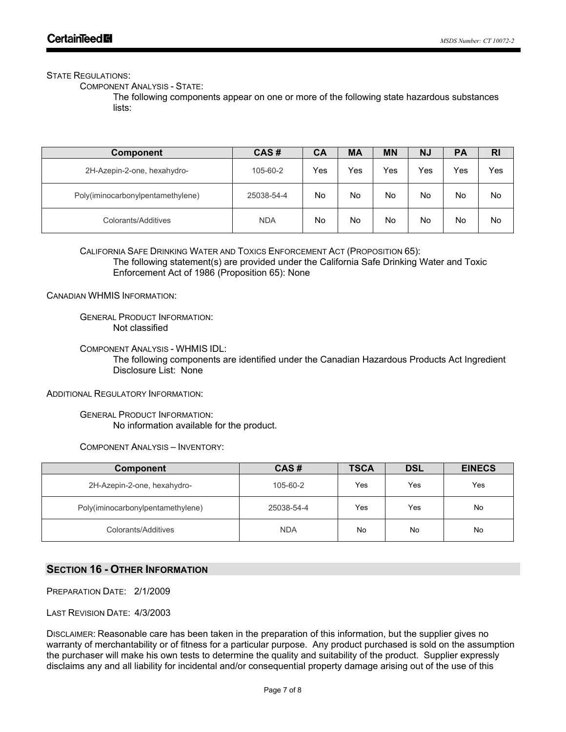#### STATE REGULATIONS:

COMPONENT ANALYSIS - STATE:

The following components appear on one or more of the following state hazardous substances lists:

| <b>Component</b>                  | CAS#       | СA  | MA  | <b>MN</b> | <b>NJ</b> | <b>PA</b> | R <sub>l</sub> |
|-----------------------------------|------------|-----|-----|-----------|-----------|-----------|----------------|
| 2H-Azepin-2-one, hexahydro-       | 105-60-2   | Yes | Yes | Yes       | Yes       | Yes       | Yes            |
| Poly(iminocarbonylpentamethylene) | 25038-54-4 | No  | No  | No        | No        | No        | No             |
| Colorants/Additives               | <b>NDA</b> | No  | No  | No        | No        | No        | No             |

CALIFORNIA SAFE DRINKING WATER AND TOXICS ENFORCEMENT ACT (PROPOSITION 65):

The following statement(s) are provided under the California Safe Drinking Water and Toxic Enforcement Act of 1986 (Proposition 65): None

CANADIAN WHMIS INFORMATION:

GENERAL PRODUCT INFORMATION: Not classified

COMPONENT ANALYSIS - WHMIS IDL:

The following components are identified under the Canadian Hazardous Products Act Ingredient Disclosure List: None

ADDITIONAL REGULATORY INFORMATION:

GENERAL PRODUCT INFORMATION: No information available for the product.

COMPONENT ANALYSIS – INVENTORY:

| <b>Component</b>                  | CAS#       | <b>TSCA</b> | <b>DSL</b> | <b>EINECS</b> |
|-----------------------------------|------------|-------------|------------|---------------|
| 2H-Azepin-2-one, hexahydro-       | 105-60-2   | Yes         | Yes        | Yes           |
| Poly(iminocarbonylpentamethylene) | 25038-54-4 | Yes         | Yes        | No            |
| Colorants/Additives               | <b>NDA</b> | No          | No         | No            |

## **SECTION 16 - OTHER INFORMATION**

PREPARATION DATE: 2/1/2009

LAST REVISION DATE: 4/3/2003

DISCLAIMER: Reasonable care has been taken in the preparation of this information, but the supplier gives no warranty of merchantability or of fitness for a particular purpose. Any product purchased is sold on the assumption the purchaser will make his own tests to determine the quality and suitability of the product. Supplier expressly disclaims any and all liability for incidental and/or consequential property damage arising out of the use of this